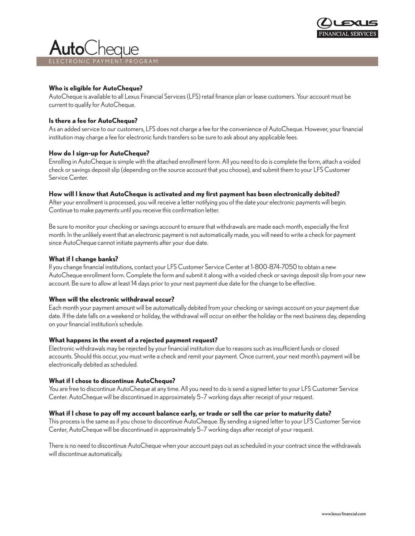



#### **Who is eligible for AutoCheque?**

AutoCheque is available to all Lexus Financial Services (LFS) retail finance plan or lease customers. Your account must be current to qualify for AutoCheque.

#### **Is there a fee for AutoCheque?**

As an added service to our customers, LFS does not charge a fee for the convenience of AutoCheque. However, your financial institution may charge a fee for electronic funds transfers so be sure to ask about any applicable fees.

#### **How do I sign-up for AutoCheque?**

Enrolling in AutoCheque is simple with the attached enrollment form. All you need to do is complete the form, attach a voided check or savings deposit slip (depending on the source account that you choose), and submit them to your LFS Customer Service Center.

#### **How will I know that AutoCheque is activated and my first payment has been electronically debited?**

After your enrollment is processed, you will receive a letter notifying you of the date your electronic payments will begin. Continue to make payments until you receive this confirmation letter.

Be sure to monitor your checking or savings account to ensure that withdrawals are made each month, especially the first month. In the unlikely event that an electronic payment is not automatically made, you will need to write a check for payment since AutoCheque cannot initiate payments after your due date.

#### **What if I change banks?**

If you change financial institutions, contact your LFS Customer Service Center at 1-800-874-7050 to obtain a new AutoCheque enrollment form. Complete the form and submit it along with a voided check or savings deposit slip from your new account. Be sure to allow at least 14 days prior to your next payment due date for the change to be effective.

#### **When will the electronic withdrawal occur?**

Each month your payment amount will be automatically debited from your checking or savings account on your payment due date. If the date falls on a weekend or holiday, the withdrawal will occur on either the holiday or the next business day, depending on your financial institution's schedule.

#### **What happens in the event of a rejected payment request?**

Electronic withdrawals may be rejected by your financial institution due to reasons such as insufficient funds or closed accounts. Should this occur, you must write a check and remit your payment. Once current, your next month's payment will be electronically debited as scheduled.

#### **What if I chose to discontinue AutoCheque?**

You are free to discontinue AutoCheque at any time. All you need to do is send a signed letter to your LFS Customer Service Center. AutoCheque will be discontinued in approximately 5–7 working days after receipt of your request.

#### **What if I chose to pay off my account balance early, or trade or sell the car prior to maturity date?**

This process is the same as if you chose to discontinue AutoCheque. By sending a signed letter to your LFS Customer Service Center, AutoCheque will be discontinued in approximately 5–7 working days after receipt of your request.

There is no need to discontinue AutoCheque when your account pays out as scheduled in your contract since the withdrawals will discontinue automatically.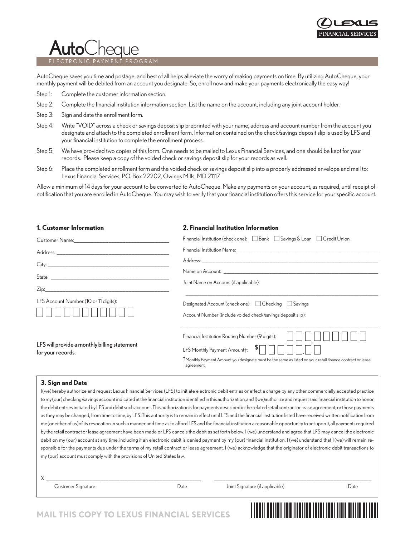

# AutoCh

MENT PROGRAM

AutoCheque saves you time and postage, and best of all helps alleviate the worry of making payments on time. By utilizing AutoCheque, your monthly payment will be debited from an account you designate. So, enroll now and make your payments electronically the easy way!

- Step 1: Complete the customer information section.
- Step 2: Complete the financial institution information section. List the name on the account, including any joint account holder.
- Step 3: Sign and date the enrollment form.
- Step 4: Write "VOID" across a check or savings deposit slip preprinted with your name, address and account number from the account you designate and attach to the completed enrollment form. Information contained on the check/savings deposit slip is used by LFS and your financial institution to complete the enrollment process.
- Step 5: We have provided two copies of this form. One needs to be mailed to Lexus Financial Services, and one should be kept for your records. Please keep a copy of the voided check or savings deposit slip for your records as well.
- Step 6: Place the completed enrollment form and the voided check or savings deposit slip into a properly addressed envelope and mail to: Lexus Financial Services, P.O. Box 22202, Owings Mills, MD 21117

Allow a minimum of 14 days for your account to be converted to AutoCheque. Make any payments on your account, as required, until receipt of notification that you are enrolled in AutoCheque. You may wish to verify that your financial institution offers this service for your specific account.

| 1. Customer Information                                                                                                                                                                                                        | 2. Financial Institution Information                                                                                                                                                                                                                                                 |  |
|--------------------------------------------------------------------------------------------------------------------------------------------------------------------------------------------------------------------------------|--------------------------------------------------------------------------------------------------------------------------------------------------------------------------------------------------------------------------------------------------------------------------------------|--|
| Customer Name: Name: Name and Secretary Annual Account of the Account of the Account of the Account of the Account of the Account of the Account of the Account of the Account of the Account of the Account of the Account of | Financial Institution (check one): □ Bank □ Savings & Loan □ Credit Union                                                                                                                                                                                                            |  |
|                                                                                                                                                                                                                                |                                                                                                                                                                                                                                                                                      |  |
|                                                                                                                                                                                                                                |                                                                                                                                                                                                                                                                                      |  |
|                                                                                                                                                                                                                                |                                                                                                                                                                                                                                                                                      |  |
|                                                                                                                                                                                                                                | Joint Name on Account (if applicable):                                                                                                                                                                                                                                               |  |
| LFS Account Number (10 or 11 digits):                                                                                                                                                                                          | Designated Account (check one): □ Checking □ Savings<br>Account Number (include voided check/savings deposit slip):                                                                                                                                                                  |  |
| LFS will provide a monthly billing statement<br>for your records.                                                                                                                                                              | Financial Institution Routing Number (9 digits):<br>LFS Monthly Payment Amount $\dagger: \begin{array}{c} \text{$\$} \square \square \square \end{array}$<br>TMonthly Payment Amount you designate must be the same as listed on your retail finance contract or lease<br>agreement. |  |

#### **3. Sign and Date**

I(we)hereby authorize and request Lexus Financial Services (LFS) to initiate electronic debit entries or effect a charge by any other commercially accepted practice to my(our)checking/savings account indicated at the financial institution identified in this authorization,and I (we)authorize and request said financial institution to honor the debit entries initiated by LFS and debit such account. This authorization is for payments described in the related retail contract or lease agreement, or those payments as they may be changed, from time to time,by LFS.This authority is to remain in effect until LFS and the financial institution listed have received written notification from me(or either of us)of its revocation in such a manner and time as to afford LFS and the financial institution a reasonable opportunity toact upon it,allpaymentsrequired by the retail contract orlease agreement have been made or LFS cancels the debit as set forth below. I (we) understand and agree that LFS may cancel the electronic debit on my (our) account at any time, including if an electronic debit is denied payment by my (our) financial institution. I (we) understand that I(we)will remain responsible for the payments due under the terms of my retail contract or lease agreement. I (we) acknowledge that the originator of electronic debit transactions to my (our) account must comply with the provisions of United States law.

X \_\_\_\_\_\_\_\_\_\_\_\_\_\_\_\_\_\_\_\_\_\_\_\_\_\_\_\_\_\_\_\_\_\_\_\_\_\_\_\_\_\_\_\_\_\_\_\_\_\_\_\_\_\_\_\_\_ \_\_\_\_\_\_\_\_\_\_\_\_\_\_\_\_\_\_\_\_\_\_\_\_\_\_\_\_\_\_\_\_\_\_\_\_\_\_\_\_\_\_\_\_\_\_\_\_\_\_\_\_\_\_\_\_\_\_

Customer Signature Date Joint Signature (if applicable) Date

<u>MARITI INI UTURLI MARITI INI UTURLI UTURLI UTURLI UTURLI UTURLI UTURLI UTURLI UTURLI UTURLI UTURLI UTURLI UTU</u>

## **MAIL THIS COPY TO LEXUS FINANCIAL SERVICES**